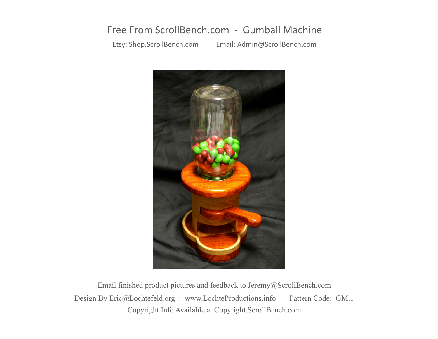## Free From ScrollBench.com - Gumball Machine

Etsy: Shop.ScrollBench.com Email: Admin@ScrollBench.com



Copyright Info Available at Copyright.ScrollBench.com Design By Eric@Lochtefeld.org : www.LochteProductions.info Pattern Code: GM.1 Email finished product pictures and feedback to Jeremy@ScrollBench.com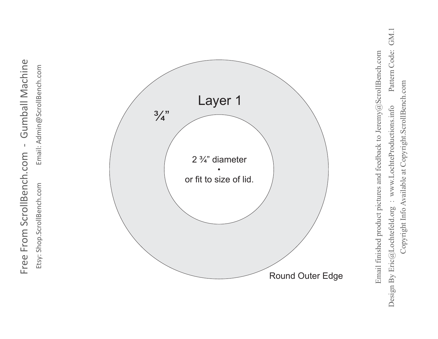

Etsy: Shop.ScrollBench.com Email: Admin@ScrollBench.com Etsy: Shop.ScrollBench.com

Email: Admin@ScrollBench.com



Pattern Code: GM.1 Design By Eric@Lochtefeld.org : www.LochteProductions.info Pattern Code: GM.1 Email finished product pictures and feedback to Jeremy@ScrollBench.com Email finished product pictures and feedback to Jeremy@ScrollBench.com Copyright Info Available at Copyright.ScrollBench.com Copyright Info Available at Copyright.ScrollBench.com : www.LochteProductions.info Design By Eric@Lochtefeld.org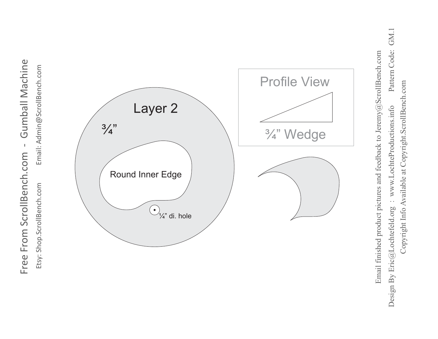

GM.1 Design By Eric@Lochtefeld.org : www.LochteProductions.info Pattern Code: GM.1 Pattern Code: Email finished product pictures and feedback to Jeremy@ScrollBench.com Email finished product pictures and feedback to Jeremy@ScrollBench.com Copyright Info Available at Copyright.ScrollBench.com Copyright Info Available at Copyright.ScrollBench.com : www.LochteProductions.info Design By Eric@Lochtefeld.org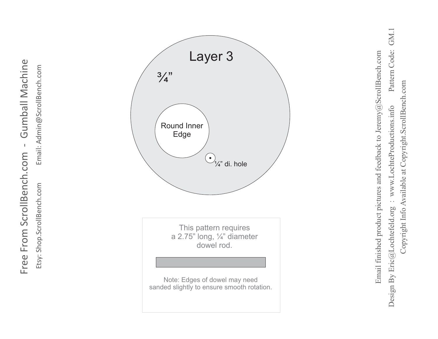**Gumball Machine** Free From ScrollBench.com - Gumball Machine  $\bar{\mathbf{I}}$ Free From ScrollBench.com Etsy: Shop.ScrollBench.com

Email: Admin@ScrollBench.com Etsy: Shop.ScrollBench.com Email: Admin@ScrollBench.com



GM.1 Design By Eric@Lochtefeld.org : www.LochteProductions.info Pattern Code: GM.1 Pattern Code: Email finished product pictures and feedback to Jeremy@ScrollBench.com Email finished product pictures and feedback to Jeremy@ScrollBench.com Copyright Info Available at Copyright.ScrollBench.com Copyright Info Available at Copyright.ScrollBench.com : www.LochteProductions.info Design By Eric@Lochtefeld.org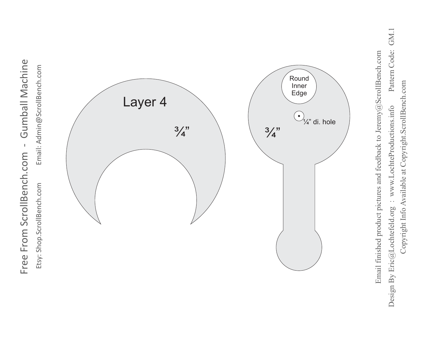

Etsy: Shop.ScrollBench.com

Email: Admin@ScrollBench.com



Pattern Code: GM.1 Design By Eric@Lochtefeld.org : www.LochteProductions.info Pattern Code: GM.1 Email finished product pictures and feedback to Jeremy@ScrollBench.com Email finished product pictures and feedback to Jeremy@ScrollBench.comCopyright Info Available at Copyright.ScrollBench.com Copyright Info Available at Copyright.ScrollBench.com Design By Eric@Lochtefeld.org : www.LochteProductions.info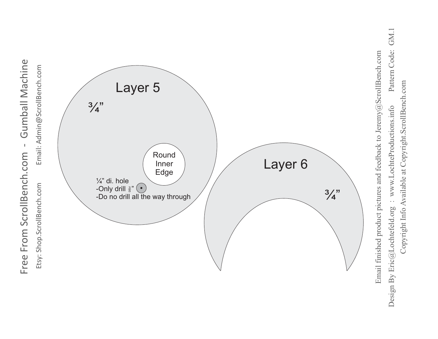

GM.1 Design By Eric@Lochtefeld.org : www.LochteProductions.info Pattern Code: GM.1 Pattern Code: Copyright Info Available at Copyright.ScrollBench.com Copyright Info Available at Copyright.ScrollBench.com : www.LochteProductions.info Design By Eric@Lochtefeld.org

**Gumball Machine** Free From ScrollBench.com - Gumball Machine Free From ScrollBench.com -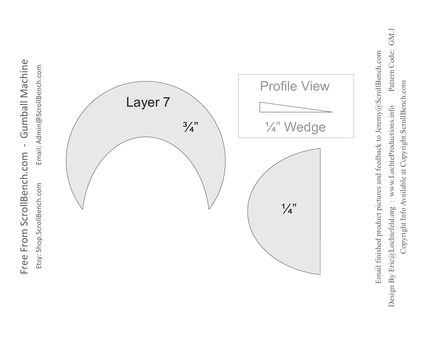

Etsy: Shop.ScrollBench.com

Email: Admin@ScrollBench.com



GM.1 Design By Eric@Lochtefeld.org : www.LochteProductions.info Pattern Code: GM.1 Pattern Code: Email finished product pictures and feedback to Jeremy@ScrollBench.com Email finished product pictures and feedback to Jeremy@ScrollBench.comCopyright Info Available at Copyright.ScrollBench.com Copyright Info Available at Copyright.ScrollBench.com : www.LochteProductions.info Design By Eric@Lochtefeld.org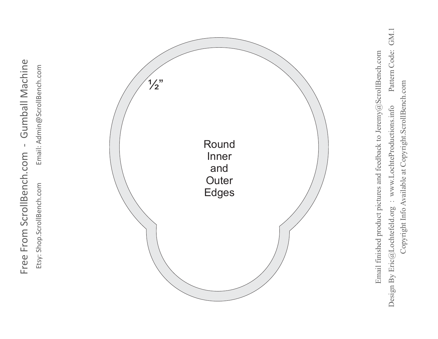